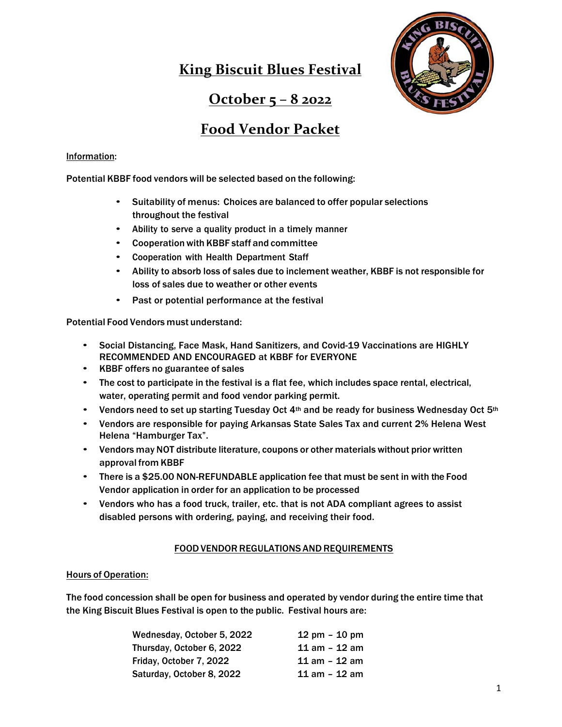# **King Biscuit Blues Festival**



# **October 5 – 8 2022**

# **Food Vendor Packet**

## Information:

Potential KBBF food vendors will be selected based on the following:

- Suitability of menus: Choices are balanced to offer popular selections throughout the festival
- Ability to serve a quality product in a timely manner
- Cooperation with KBBF staff and committee
- Cooperation with Health Department Staff
- Ability to absorb loss of sales due to inclement weather, KBBF is not responsible for loss of sales due to weather or other events
- Past or potential performance at the festival

Potential Food Vendors must understand:

- Social Distancing, Face Mask, Hand Sanitizers, and Covid-19 Vaccinations are HIGHLY RECOMMENDED AND ENCOURAGED at KBBF for EVERYONE
- KBBF offers no guarantee of sales
- The cost to participate in the festival is a flat fee, which includes space rental, electrical, water, operating permit and food vendor parking permit.
- Vendors need to set up starting Tuesday Oct  $4<sup>th</sup>$  and be ready for business Wednesday Oct  $5<sup>th</sup>$
- Vendors are responsible for paying Arkansas State Sales Tax and current 2% Helena West Helena "Hamburger Tax".
- Vendors may NOT distribute literature, coupons or other materials without prior written approval from KBBF
- There is a \$25.00 NON-REFUNDABLE application fee that must be sent in with the Food Vendor application in order for an application to be processed
- Vendors who has a food truck, trailer, etc. that is not ADA compliant agrees to assist disabled persons with ordering, paying, and receiving their food.

## FOODVENDORREGULATIONS AND REQUIREMENTS

### Hours of Operation:

The food concession shall be open for business and operated by vendor during the entire time that the King Biscuit Blues Festival is open to the public. Festival hours are:

| Wednesday, October 5, 2022 | $12 \text{ pm} - 10 \text{ pm}$ |
|----------------------------|---------------------------------|
| Thursday, October 6, 2022  | 11 am - 12 am                   |
| Friday, October 7, 2022    | $11$ am $-12$ am                |
| Saturday, October 8, 2022  | 11 am - 12 am                   |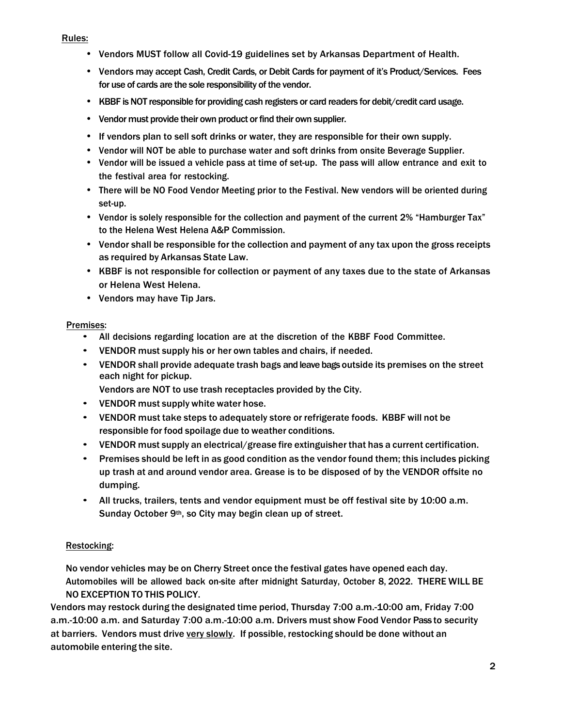Rules:

- Vendors MUST follow all Covid-19 guidelines set by Arkansas Department of Health.
- Vendors may accept Cash, Credit Cards, or Debit Cards for payment of it's Product/Services. Fees for use of cards are the sole responsibility of the vendor.
- KBBF is NOT responsible for providing cash registers or card readers for debit/credit card usage.
- Vendor must provide their own product or find their own supplier.
- If vendors plan to sell soft drinks or water, they are responsible for their own supply.
- Vendor will NOT be able to purchase water and soft drinks from onsite Beverage Supplier.
- Vendor will be issued a vehicle pass at time of set-up. The pass will allow entrance and exit to the festival area for restocking.
- There will be NO Food Vendor Meeting prior to the Festival. New vendors will be oriented during set-up.
- Vendor is solely responsible for the collection and payment of the current 2% "Hamburger Tax" to the Helena West Helena A&P Commission.
- Vendor shall be responsible for the collection and payment of any tax upon the gross receipts as required by Arkansas State Law.
- KBBF is not responsible for collection or payment of any taxes due to the state of Arkansas or Helena West Helena.
- Vendors may have Tip Jars.

### Premises:

- All decisions regarding location are at the discretion of the KBBF Food Committee.
- VENDOR must supply his or her own tables and chairs, if needed.
- VENDOR shall provide adequate trash bags and leave bags outside its premises on the street each night for pickup.
	- Vendors are NOT to use trash receptacles provided by the City.
- VENDOR must supply white water hose.
- VENDOR must take steps to adequately store or refrigerate foods. KBBF will not be responsible for food spoilage due to weather conditions.
- VENDOR must supply an electrical/grease fire extinguisher that has a current certification.
- Premises should be left in as good condition as the vendor found them; this includes picking up trash at and around vendor area. Grease is to be disposed of by the VENDOR offsite no dumping.
- All trucks, trailers, tents and vendor equipment must be off festival site by 10:00 a.m. Sunday October 9<sup>th</sup>, so City may begin clean up of street.

### Restocking:

No vendor vehicles may be on Cherry Street once the festival gates have opened each day. Automobiles will be allowed back on-site after midnight Saturday, October 8, 2022. THERE WILL BE NO EXCEPTION TO THIS POLICY.

Vendors may restock during the designated time period, Thursday 7:00 a.m.-10:00 am, Friday 7:00 a.m.-10:00 a.m. and Saturday 7:00 a.m.-10:00 a.m. Drivers must show Food Vendor Pass to security at barriers. Vendors must drive very slowly. If possible, restocking should be done without an automobile entering the site.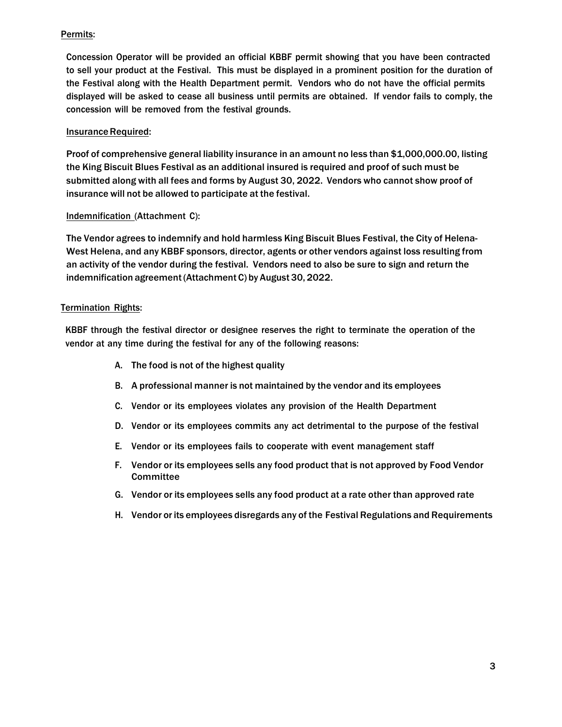## Permits:

Concession Operator will be provided an official KBBF permit showing that you have been contracted to sell your product at the Festival. This must be displayed in a prominent position for the duration of the Festival along with the Health Department permit. Vendors who do not have the official permits displayed will be asked to cease all business until permits are obtained. If vendor fails to comply, the concession will be removed from the festival grounds.

## **Insurance Required:**

Proof of comprehensive general liability insurance in an amount no less than \$1,000,000.00, listing the King Biscuit Blues Festival as an additional insured is required and proof of such must be submitted along with all fees and forms by August 30, 2022. Vendors who cannot show proof of insurance will not be allowed to participate at the festival.

### Indemnification (Attachment C):

The Vendor agrees to indemnify and hold harmless King Biscuit Blues Festival, the City of Helena-West Helena, and any KBBF sponsors, director, agents or other vendors against loss resulting from an activity of the vendor during the festival. Vendors need to also be sure to sign and return the indemnification agreement (Attachment C) by August 30, 2022.

### Termination Rights:

KBBF through the festival director or designee reserves the right to terminate the operation of the vendor at any time during the festival for any of the following reasons:

- A. The food is not of the highest quality
- B. A professional manner is not maintained by the vendor and its employees
- C. Vendor or its employees violates any provision of the Health Department
- D. Vendor or its employees commits any act detrimental to the purpose of the festival
- E. Vendor or its employees fails to cooperate with event management staff
- F. Vendor or its employees sells any food product that is not approved by Food Vendor **Committee**
- G. Vendor or its employees sells any food product at a rate other than approved rate
- H. Vendor or its employees disregards any of the Festival Regulations and Requirements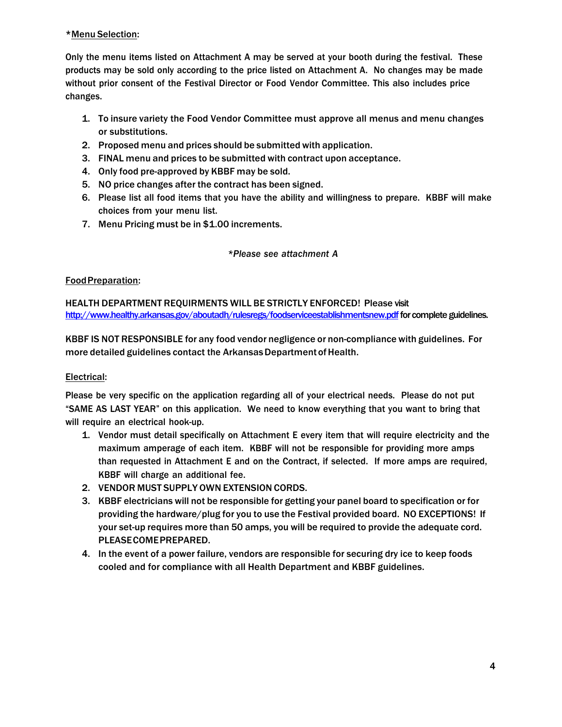## \*Menu Selection:

Only the menu items listed on Attachment A may be served at your booth during the festival. These products may be sold only according to the price listed on Attachment A. No changes may be made without prior consent of the Festival Director or Food Vendor Committee. This also includes price changes.

- 1. To insure variety the Food Vendor Committee must approve all menus and menu changes or substitutions.
- 2. Proposed menu and prices should be submitted with application.
- 3. FINAL menu and prices to be submitted with contract upon acceptance.
- 4. Only food pre-approved by KBBF may be sold.
- 5. NO price changes after the contract has been signed.
- 6. Please list all food items that you have the ability and willingness to prepare. KBBF will make choices from your menu list.
- 7. Menu Pricing must be in \$1.00 increments.

## *\*Please see attachment A*

## FoodPreparation:

HEALTH DEPARTMENT REQUIRMENTS WILL BE STRICTLY ENFORCED! Please visit http://www.healthy.arkansas.gov/aboutadh/rulesregs/foodserviceestablishmentsnew.pdf for complete guidelines.

KBBF IS NOT RESPONSIBLE for any food vendor negligence or non-compliance with guidelines. For more detailed guidelines contact the Arkansas Department of Health.

## Electrical:

Please be very specific on the application regarding all of your electrical needs. Please do not put "SAME AS LAST YEAR" on this application. We need to know everything that you want to bring that will require an electrical hook-up.

- 1. Vendor must detail specifically on Attachment E every item that will require electricity and the maximum amperage of each item. KBBF will not be responsible for providing more amps than requested in Attachment E and on the Contract, if selected. If more amps are required, KBBF will charge an additional fee.
- 2. VENDOR MUST SUPPLY OWN EXTENSION CORDS.
- 3. KBBF electricians will not be responsible for getting your panel board to specification or for providing the hardware/plug for you to use the Festival provided board. NO EXCEPTIONS! If your set-up requires more than 50 amps, you will be required to provide the adequate cord. PLEASECOMEPREPARED.
- 4. In the event of a power failure, vendors are responsible for securing dry ice to keep foods cooled and for compliance with all Health Department and KBBF guidelines.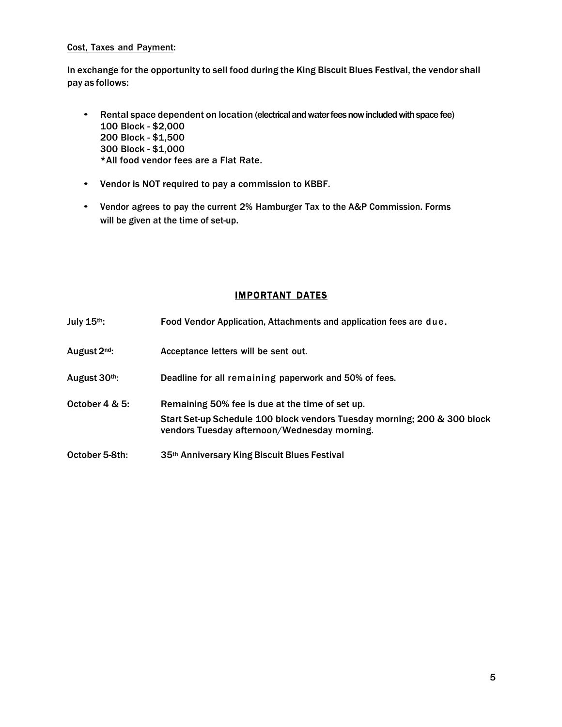### Cost, Taxes and Payment:

In exchange for the opportunity to sell food during the King Biscuit Blues Festival, the vendor shall pay as follows:

- Rental space dependent on location (electrical and water fees now included with space fee) 100 Block - \$2,000 200 Block - \$1,500 300 Block - \$1,000 \*All food vendor fees are a Flat Rate.
- Vendor is NOT required to pay a commission to KBBF.
- Vendor agrees to pay the current 2% Hamburger Tax to the A&P Commission. Forms will be given at the time of set-up.

## IMPORTANT DATES

| July 15th:     | Food Vendor Application, Attachments and application fees are due.                                                                                                          |
|----------------|-----------------------------------------------------------------------------------------------------------------------------------------------------------------------------|
| August 2nd:    | Acceptance letters will be sent out.                                                                                                                                        |
| August 30th:   | Deadline for all remaining paperwork and 50% of fees.                                                                                                                       |
| October 4 & 5: | Remaining 50% fee is due at the time of set up.<br>Start Set-up Schedule 100 block vendors Tuesday morning; 200 & 300 block<br>vendors Tuesday afternoon/Wednesday morning. |
| October 5-8th: | 35th Anniversary King Biscuit Blues Festival                                                                                                                                |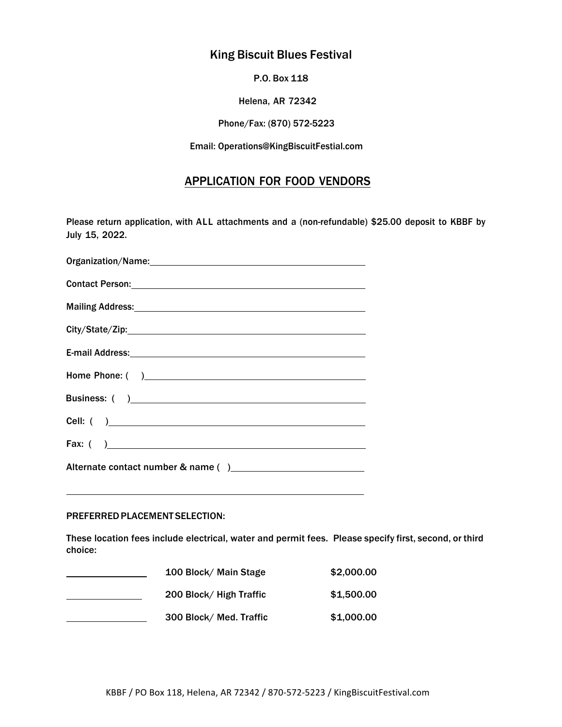# King Biscuit Blues Festival

P.O. Box 118

Helena, AR 72342

Phone/Fax: (870) 572-5223

Email: Operations@KingBiscuitFestial.com

## APPLICATION FOR FOOD VENDORS

Please return application, with ALL attachments and a (non-refundable) \$25.00 deposit to KBBF by July 15, 2022.

| Organization/Name: www.assettation.com                                                                         |  |
|----------------------------------------------------------------------------------------------------------------|--|
| Contact Person: 2008 and 2008 and 2008 and 2008 and 2008 and 2008 and 2008 and 2008 and 2008 and 2008 and 2008 |  |
| Mailing Address: National Communication of the Mailing Address:                                                |  |
|                                                                                                                |  |
| E-mail Address: North American Section 1988 and 2008 and 2008 and 2008 and 2008 and 2008 and 2008 and 2008 and |  |
|                                                                                                                |  |
|                                                                                                                |  |
|                                                                                                                |  |
| Fax: ( )                                                                                                       |  |
|                                                                                                                |  |

#### PREFERREDPLACEMENT SELECTION:

These location fees include electrical, water and permit fees. Please specify first, second, or third choice:

| 100 Block/ Main Stage   | \$2,000.00 |
|-------------------------|------------|
| 200 Block/ High Traffic | \$1,500.00 |
| 300 Block/ Med. Traffic | \$1,000.00 |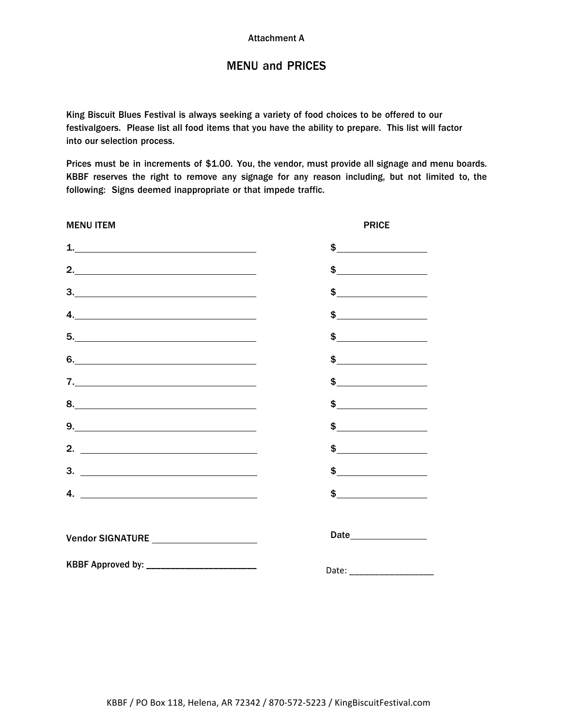# MENU and PRICES

King Biscuit Blues Festival is always seeking a variety of food choices to be offered to our festivalgoers. Please list all food items that you have the ability to prepare. This list will factor into our selection process.

Prices must be in increments of \$1.00. You, the vendor, must provide all signage and menu boards. KBBF reserves the right to remove any signage for any reason including, but not limited to, the following: Signs deemed inappropriate or that impede traffic.

| <b>MENU ITEM</b>                            | <b>PRICE</b>           |
|---------------------------------------------|------------------------|
| 1. $\overline{\phantom{a}}$ 1.              | $\frac{1}{2}$          |
|                                             | $\frac{1}{2}$          |
| 3.                                          | $\frac{1}{2}$          |
| 4. $\overline{\phantom{a}}$                 |                        |
|                                             | $\frac{1}{2}$          |
| 6.                                          | $\frac{1}{2}$          |
| 7.                                          | $\frac{1}{2}$          |
|                                             | $\frac{1}{2}$          |
| $9. \underline{\hspace{2cm}}$               | $\frac{1}{2}$          |
| 2. $\qquad \qquad$                          | $\frac{1}{2}$          |
|                                             | $\frac{1}{2}$          |
| 4. $\overline{\phantom{a}}$                 |                        |
| Vendor SIGNATURE ______________________     | Date__________________ |
| KBBF Approved by: _________________________ |                        |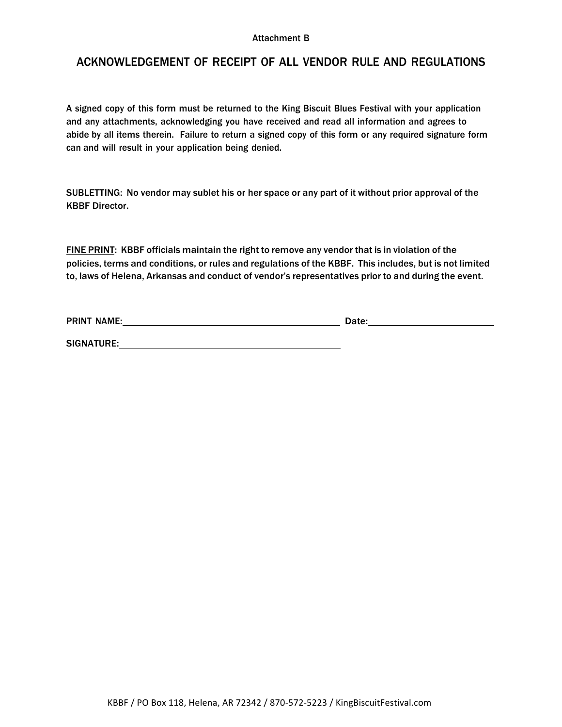#### Attachment B

## ACKNOWLEDGEMENT OF RECEIPT OF ALL VENDOR RULE AND REGULATIONS

A signed copy of this form must be returned to the King Biscuit Blues Festival with your application and any attachments, acknowledging you have received and read all information and agrees to abide by all items therein. Failure to return a signed copy of this form or any required signature form can and will result in your application being denied.

SUBLETTING: No vendor may sublet his or her space or any part of it without prior approval of the KBBF Director.

FINE PRINT: KBBF officials maintain the right to remove any vendor that is in violation of the policies, terms and conditions, or rules and regulations of the KBBF. This includes, but is not limited to, laws of Helena, Arkansas and conduct of vendor's representatives prior to and during the event.

PRINT NAME: Date:

SIGNATURE: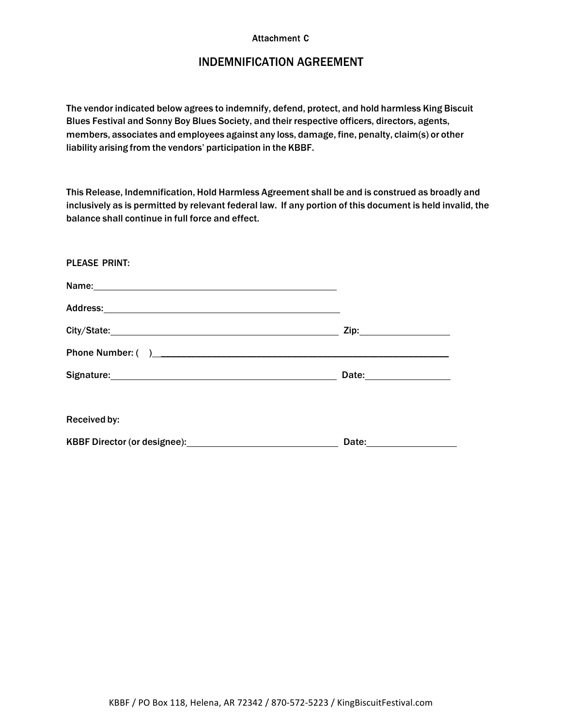#### **Attachment C**

# INDEMNIFICATION AGREEMENT

The vendor indicated below agrees to indemnify, defend, protect, and hold harmless King Biscuit Blues Festival and Sonny Boy Blues Society, and their respective officers, directors, agents, members, associates and employees against any loss, damage, fine, penalty, claim(s) or other liability arising from the vendors' participation in the KBBF.

This Release, Indemnification, Hold Harmless Agreement shall be and is construed as broadly and inclusively as is permitted by relevant federal law. If any portion of this document is held invalid, the balance shall continue in full force and effect.

| <b>PLEASE PRINT:</b>                                                                                                                                                                                                           |  |
|--------------------------------------------------------------------------------------------------------------------------------------------------------------------------------------------------------------------------------|--|
| Name: Name:                                                                                                                                                                                                                    |  |
|                                                                                                                                                                                                                                |  |
|                                                                                                                                                                                                                                |  |
|                                                                                                                                                                                                                                |  |
|                                                                                                                                                                                                                                |  |
| Received by:                                                                                                                                                                                                                   |  |
| KBBF Director (or designee): \\square \\square \\square \\square \\square \\square \\square \\square \\square \\square \\square \\square \\square \\square \\square \\square \\square \\square \\square \\square \\square \\sq |  |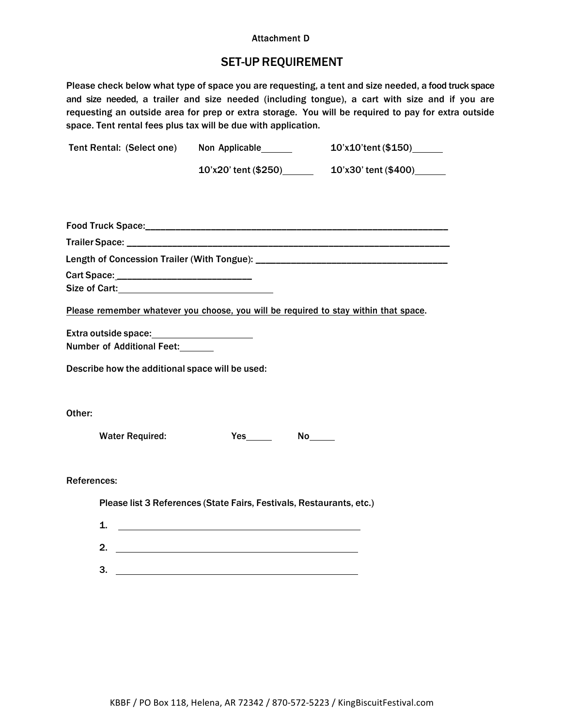#### **Attachment D**

# SET-UP REQUIREMENT

Please check below what type of space you are requesting, a tent and size needed, a food truck space and size needed, a trailer and size needed (including tongue), a cart with size and if you are requesting an outside area for prep or extra storage. You will be required to pay for extra outside space. Tent rental fees plus tax will be due with application.

| Tent Rental: (Select one)                       | Non Applicable_______                                                                | 10'x10'tent (\$150)______ |
|-------------------------------------------------|--------------------------------------------------------------------------------------|---------------------------|
|                                                 | 10'x20' tent (\$250) 10'x30' tent (\$400)                                            |                           |
|                                                 |                                                                                      |                           |
|                                                 |                                                                                      |                           |
|                                                 |                                                                                      |                           |
|                                                 |                                                                                      |                           |
|                                                 |                                                                                      |                           |
|                                                 |                                                                                      |                           |
|                                                 |                                                                                      |                           |
|                                                 | Please remember whatever you choose, you will be required to stay within that space. |                           |
|                                                 |                                                                                      |                           |
| Number of Additional Feet:                      |                                                                                      |                           |
| Describe how the additional space will be used: |                                                                                      |                           |
| Other:                                          |                                                                                      |                           |
| <b>Water Required:</b>                          |                                                                                      |                           |
| <b>References:</b>                              |                                                                                      |                           |
|                                                 | Please list 3 References (State Fairs, Festivals, Restaurants, etc.)                 |                           |
| 1.                                              |                                                                                      |                           |
|                                                 |                                                                                      |                           |
|                                                 | $\overline{\mathbf{3.}}$ $\overline{\mathbf{1}}$                                     |                           |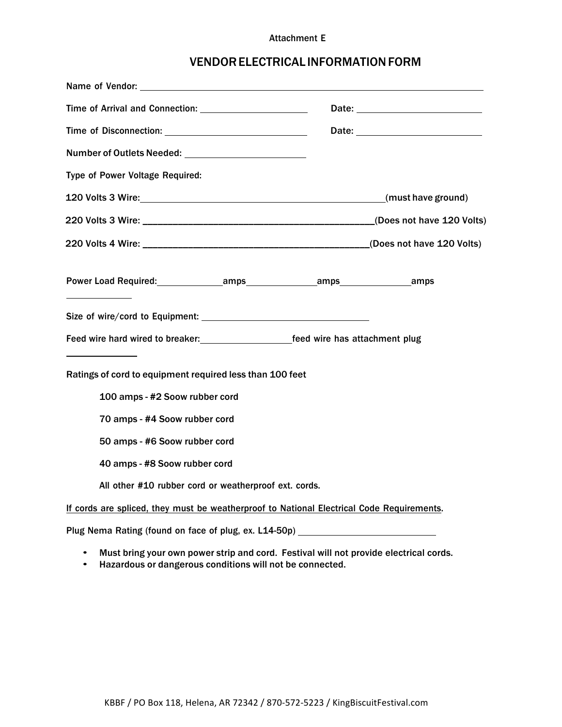#### Attachment E

# VENDORELECTRICAL INFORMATIONFORM

| Name of Vendor:                                                                           |                                                                                       |
|-------------------------------------------------------------------------------------------|---------------------------------------------------------------------------------------|
| Time of Arrival and Connection:                                                           |                                                                                       |
|                                                                                           |                                                                                       |
| Number of Outlets Needed: Name of Outlets Needed:                                         |                                                                                       |
| Type of Power Voltage Required:                                                           |                                                                                       |
|                                                                                           | (must have ground)                                                                    |
|                                                                                           |                                                                                       |
|                                                                                           |                                                                                       |
| Power Load Required: The amps amps amps amps amps amps                                    |                                                                                       |
|                                                                                           |                                                                                       |
| Feed wire hard wired to breaker: The Sea Marked wire has attachment plug                  |                                                                                       |
| Ratings of cord to equipment required less than 100 feet                                  |                                                                                       |
| 100 amps - #2 Soow rubber cord                                                            |                                                                                       |
| 70 amps - #4 Soow rubber cord                                                             |                                                                                       |
| 50 amps - #6 Soow rubber cord                                                             |                                                                                       |
| 40 amps - #8 Soow rubber cord                                                             |                                                                                       |
| All other #10 rubber cord or weatherproof ext. cords.                                     |                                                                                       |
| If cords are spliced, they must be weatherproof to National Electrical Code Requirements. |                                                                                       |
| Plug Nema Rating (found on face of plug, ex. L14-50p) __________________________          |                                                                                       |
|                                                                                           | Must bring your own power strip and cord. Festival will not provide electrical cords. |

• Hazardous or dangerous conditions will not be connected.